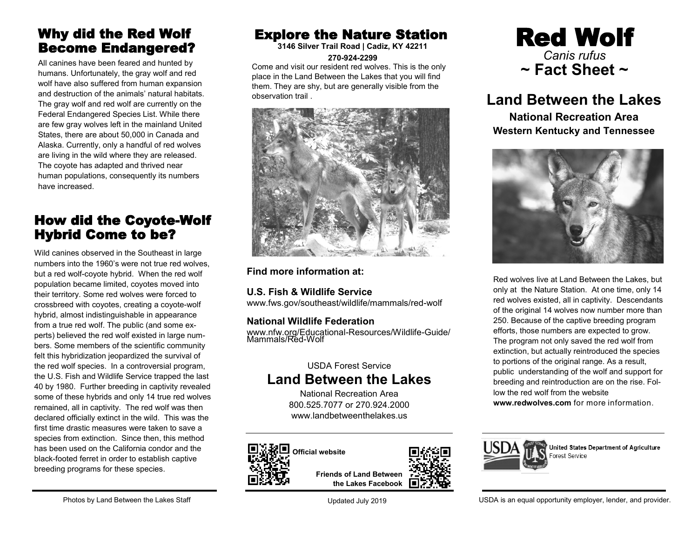## Why did the Red Wolf Become Endangered?

All canines have been feared and hunted by humans. Unfortunately, the gray wolf and red wolf have also suffered from human expansion and destruction of the animals' natural habitats. The gray wolf and red wolf are currently on the Federal Endangered Species List. While there are few gray wolves left in the mainland United States, there are about 50,000 in Canada and Alaska. Currently, only a handful of red wolves are living in the wild where they are released. The coyote has adapted and thrived near human populations, consequently its numbers have increased.

## How did the Coyote-Wolf Hybrid Come to be?

Wild canines observed in the Southeast in large numbers into the 1960's were not true red wolves, but a red wolf-coyote hybrid. When the red wolf population became limited, coyotes moved into their territory. Some red wolves were forced to crossbreed with coyotes, creating a coyote-wolf hybrid, almost indistinguishable in appearance from a true red wolf. The public (and some experts) believed the red wolf existed in large numbers. Some members of the scientific community felt this hybridization jeopardized the survival of the red wolf species. In a controversial program, the U.S. Fish and Wildlife Service trapped the last 40 by 1980. Further breeding in captivity revealed some of these hybrids and only 14 true red wolves remained, all in captivity. The red wolf was then declared officially extinct in the wild. This was the first time drastic measures were taken to save a species from extinction. Since then, this method has been used on the California condor and the black-footed ferret in order to establish captive breeding programs for these species.

# Explore the Nature Station

**3146 Silver Trail Road | Cadiz, KY 42211 270-924-2299**

Come and visit our resident red wolves. This is the only place in the Land Between the Lakes that you will find them. They are shy, but are generally visible from the observation trail .



**Find more information at:**

**U.S. Fish & Wildlife Service**

www.fws.gov/southeast/wildlife/mammals/red-wolf

#### **National Wildlife Federation**

www.nfw.org/Educational-Resources/Wildlife-Guide/ Mammals/Red-Wolf

#### USDA Forest Service **Land Between the Lakes**

National Recreation Area 800.525.7077 or 270.924.2000 www.landbetweenthelakes.us



**Friends of Land Between the Lakes Facebook**



# **Land Between the Lakes**

**National Recreation Area Western Kentucky and Tennessee**



Red wolves live at Land Between the Lakes, but only at the Nature Station. At one time, only 14 red wolves existed, all in captivity. Descendants of the original 14 wolves now number more than 250. Because of the captive breeding program efforts, those numbers are expected to grow. The program not only saved the red wolf from extinction, but actually reintroduced the species to portions of the original range. As a result, public understanding of the wolf and support for breeding and reintroduction are on the rise. Follow the red wolf from the website **www.redwolves.com** for more information.



United States Department of Agriculture Forest Service

Updated July 2019